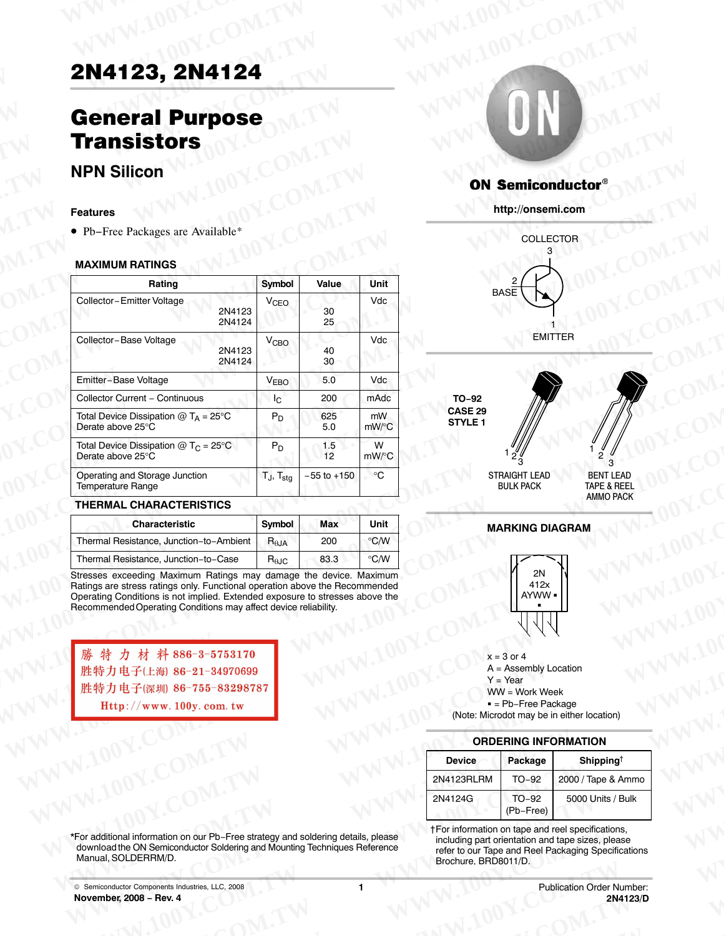# 2N4123, 2N4124 **2N4123, 2N4124**

### General Purpose **Transistors ENATEL Purpose** M.TW WWW.100Y.COM **EN4123, 2N4124**<br> **General Purpose**<br> **WWW.100Y.COM.TW COM.TW COM.TW COM.TW RESISTORS 2N4123, 2N4124**<br> **General Purpose**<br> **Transistors**<br> **WWW.100Y.COM.TW COM.TW COM.TW**<br> **Extremely MW.100Y.COM.TW ON Semiconductor EXAMPLE 23, 2N4124**<br> **Ceneral Purpose**<br> **WWW.100Y.COM.TW <br>
<b>Ceneral Purpose**<br> **Transistors**<br>
NPN Silicon<br>
Features<br>
• Pb-Free Packages are Available\*<br>
WWW.100Y.COM.TW <br>
WWW.100Y.COM.TW <br>
WWW.100Y.COM.TW <br>
WWW.100Y.COM.TW **2N4123, 2N4124**<br> **General Purpose**<br> **Transistors**<br> **NPN Silicon**<br> **Examples COM.TW COM.TW COM.TW COM.TW COM.TW COM.TW COM.TW COM.TW COM.TW COM.TW COM.TW COM.TW COM.TW COM.TW COM.TW COM.TW COM.TW COM.TW COM.TW COM.TW COM.T**

### **NPN Silicon**

#### **Features**

#### **MAXIMUM RATINGS**

| 2N4123, 2N4124                                                          |                        |                 |                                |                                                                                          |
|-------------------------------------------------------------------------|------------------------|-----------------|--------------------------------|------------------------------------------------------------------------------------------|
| <b>General Purpose</b><br><b>Transistors</b>                            |                        |                 |                                | <b>TILE</b>                                                                              |
| <b>NPN Silicon</b>                                                      |                        |                 |                                |                                                                                          |
|                                                                         |                        |                 |                                | <b>ON Semiconductor</b>                                                                  |
| <b>Features</b>                                                         |                        |                 |                                | http://onsemi.com                                                                        |
| • Pb-Free Packages are Available*                                       |                        |                 |                                | <b>COLLECTOR</b>                                                                         |
| <b>MAXIMUM RATINGS</b>                                                  |                        |                 |                                |                                                                                          |
| Rating                                                                  | Symbol                 | Value           | Unit                           | <b>BASE</b>                                                                              |
| Collector-Emitter Voltage<br>2N4123<br>2N4124                           | <b>V<sub>CEO</sub></b> | 30<br>25        | Vdc                            |                                                                                          |
| Collector-Base Voltage<br>2N4123<br>2N4124                              | <b>V<sub>CBO</sub></b> | 40<br>30        | Vdc                            | EMITTER                                                                                  |
| Emitter-Base Voltage                                                    | V <sub>EBO</sub>       | 5.0             | Vdc                            |                                                                                          |
| Collector Current - Continuous                                          | $I_{\rm C}$            | 200             | mAdc                           | TO-92                                                                                    |
| Total Device Dissipation $@T_A = 25°C$<br>Derate above 25°C             | $P_D$                  | 625<br>5.0      | mW<br>mW/°C                    | CASE 29<br><b>STYLE 1</b>                                                                |
| Total Device Dissipation $@$ T <sub>C</sub> = 25°C<br>Derate above 25°C | $P_D$                  | 1.5<br>12       | W<br>mW/°C                     |                                                                                          |
| Operating and Storage Junction<br><b>Temperature Range</b>              | $T_J$ , $T_{stg}$      | $-55$ to $+150$ | $\circ$ C                      | STRAIGHT LEAD<br><b>BENT LEAD</b><br>TAPE & REEL<br><b>BULK PACK</b><br><b>AMMO PACK</b> |
| <b>THERMAL CHARACTERISTICS</b>                                          |                        |                 |                                |                                                                                          |
| <b>Characteristic</b>                                                   | Symbol                 | Max             | Unit                           | <b>MARKING DIAGRAM</b>                                                                   |
| Thermal Resistance, Junction-to-Ambient                                 | $R_{\theta JA}$        | 200             | $\degree$ C/W<br>$\degree$ C/W |                                                                                          |
| Thermal Resistance, Junction-to-Case                                    | $H_{\theta JC}$        | 83.3            |                                |                                                                                          |

#### **THERMAL CHARACTERISTICS**

| Porato apovo Lo G                                                                                        |                                  |                 |               |               | $^{\circ}$ 3                                                                                     | ് 3                                                            |  |  |
|----------------------------------------------------------------------------------------------------------|----------------------------------|-----------------|---------------|---------------|--------------------------------------------------------------------------------------------------|----------------------------------------------------------------|--|--|
| Operating and Storage Junction<br><b>Temperature Range</b>                                               | $T_J$ , $T_{\text{stg}}$         | $-55$ to $+150$ | $^{\circ}C$   |               | STRAIGHT LEAD<br><b>BULK PACK</b>                                                                | <b>BENT LEAD</b><br><b>TAPE &amp; REEL</b><br><b>AMMO PACK</b> |  |  |
| THERMAL CHARACTERISTICS                                                                                  |                                  |                 |               |               |                                                                                                  |                                                                |  |  |
| <b>Characteristic</b>                                                                                    | Symbol                           | Max             | Unit          |               | <b>MARKING DIAGRAM</b>                                                                           |                                                                |  |  |
| Thermal Resistance, Junction-to-Ambient                                                                  | $R_{\theta,JA}$                  | 200             | $\degree$ C/W |               |                                                                                                  |                                                                |  |  |
| Thermal Resistance, Junction-to-Case                                                                     | $\mathsf{R}_{\theta\mathsf{JC}}$ | 83.3            | $\degree$ C/W |               |                                                                                                  |                                                                |  |  |
| 勝特力材料886-3-5753170<br>胜特力电子(上海) 86-21-34970699<br>胜特力电子(深圳) 86-755-83298787<br>Http://www. 100y. com. tw |                                  |                 |               |               | $x = 3$ or 4<br>$A =$ Assembly Location<br>$Y = Year$<br>$WW = Work Week$<br>$=$ Pb-Free Package | (Note: Microdot may be in either location)                     |  |  |
|                                                                                                          |                                  |                 |               |               | <b>ORDERING INFORMATION</b>                                                                      |                                                                |  |  |
|                                                                                                          |                                  |                 |               | <b>Device</b> | Package                                                                                          | Shipping <sup>†</sup>                                          |  |  |
|                                                                                                          |                                  |                 |               | 2N4123RLRM    | $TO-92$                                                                                          | 2000 / Tape & Ammo                                             |  |  |
|                                                                                                          |                                  |                 |               |               |                                                                                                  |                                                                |  |  |

**EXAMPLIANT COM.TW WWW.100Y.COM.TW AWW.100Y.COM.TW AWW.100Y.COM** 





#### **MARKING DIAGRAM**



#### **ORDERING INFORMATION**

|                                                                                                                                                                                                                                                                                                     |                        |      |                                                                                                                                              |                                                                                                                                                                                       | <b>MARKING DIAGRAM</b> |                                  |  |  |
|-----------------------------------------------------------------------------------------------------------------------------------------------------------------------------------------------------------------------------------------------------------------------------------------------------|------------------------|------|----------------------------------------------------------------------------------------------------------------------------------------------|---------------------------------------------------------------------------------------------------------------------------------------------------------------------------------------|------------------------|----------------------------------|--|--|
| Thermal Resistance, Junction-to-Ambient                                                                                                                                                                                                                                                             | $R_{\theta JA}$        | 200  | $\degree$ C/W                                                                                                                                |                                                                                                                                                                                       |                        |                                  |  |  |
| Thermal Resistance, Junction-to-Case                                                                                                                                                                                                                                                                | $R_{\theta \text{JC}}$ | 83.3 | $\degree$ C/W                                                                                                                                |                                                                                                                                                                                       |                        |                                  |  |  |
| Stresses exceeding Maximum Ratings may damage the device. Maximum<br>Ratings are stress ratings only. Functional operation above the Recommended<br>Operating Conditions is not implied. Extended exposure to stresses above the<br>Recommended Operating Conditions may affect device reliability. |                        |      |                                                                                                                                              |                                                                                                                                                                                       | 2N<br>412x<br>AYWW .   |                                  |  |  |
| 勝特力材料886-3-5753170<br>胜特力电子(上海) 86-21-34970699<br>胜特力电子(深圳) 86-755-83298787<br>Http://www. 100y. com. tw                                                                                                                                                                                            |                        |      | $x = 3$ or 4<br>A = Assembly Location<br>$Y = Year$<br>$WW = Work Week$<br>$=$ Pb-Free Package<br>(Note: Microdot may be in either location) |                                                                                                                                                                                       |                        |                                  |  |  |
|                                                                                                                                                                                                                                                                                                     |                        |      | <b>ORDERING INFORMATION</b>                                                                                                                  |                                                                                                                                                                                       |                        |                                  |  |  |
|                                                                                                                                                                                                                                                                                                     |                        |      |                                                                                                                                              | <b>Device</b>                                                                                                                                                                         | Package                | Shipping <sup>†</sup>            |  |  |
|                                                                                                                                                                                                                                                                                                     |                        |      |                                                                                                                                              | 2N4123RLRM                                                                                                                                                                            | TO-92                  | 2000 / Tape & Ammo               |  |  |
|                                                                                                                                                                                                                                                                                                     |                        |      |                                                                                                                                              | 2N4124G                                                                                                                                                                               | $TO-92$<br>(Pb-Free)   | 5000 Units / Bulk                |  |  |
| *For additional information on our Pb-Free strategy and soldering details, please<br>download the ON Semiconductor Soldering and Mounting Techniques Reference<br>Manual, SOLDERRM/D.                                                                                                               |                        |      |                                                                                                                                              | †For information on tape and reel specifications,<br>including part orientation and tape sizes, please<br>refer to our Tape and Reel Packaging Specifications<br>Brochure, BRD8011/D. |                        |                                  |  |  |
| © Semiconductor Components Industries, LLC, 2008                                                                                                                                                                                                                                                    |                        | 1    |                                                                                                                                              |                                                                                                                                                                                       |                        | <b>Publication Order Number:</b> |  |  |

†For information on tape and reel specifications, including part orientation and tape sizes, please refer to our Tape and Reel Packaging Specifications Brochure, BRD8011/D. **EXA124G** TO-92 5000 Units / Bulk<br>
The minimum on our Pb-Free strategy and soldering details, please<br> **EXA124G** (Pb-Free) 5000 Units / Bulk<br>
For information on tape and reel specifications,<br>
including part orientation and Maximum on our Pb-Free strategy and soldering details, please the including part orientation and tape sizes, please<br>
M Semiconductor Soldering and Mounting Techniques Reference ERRM/D.<br>
ERRM/D.<br> **ERRM/D.**<br> **ERRM/D.**<br> **ERRM**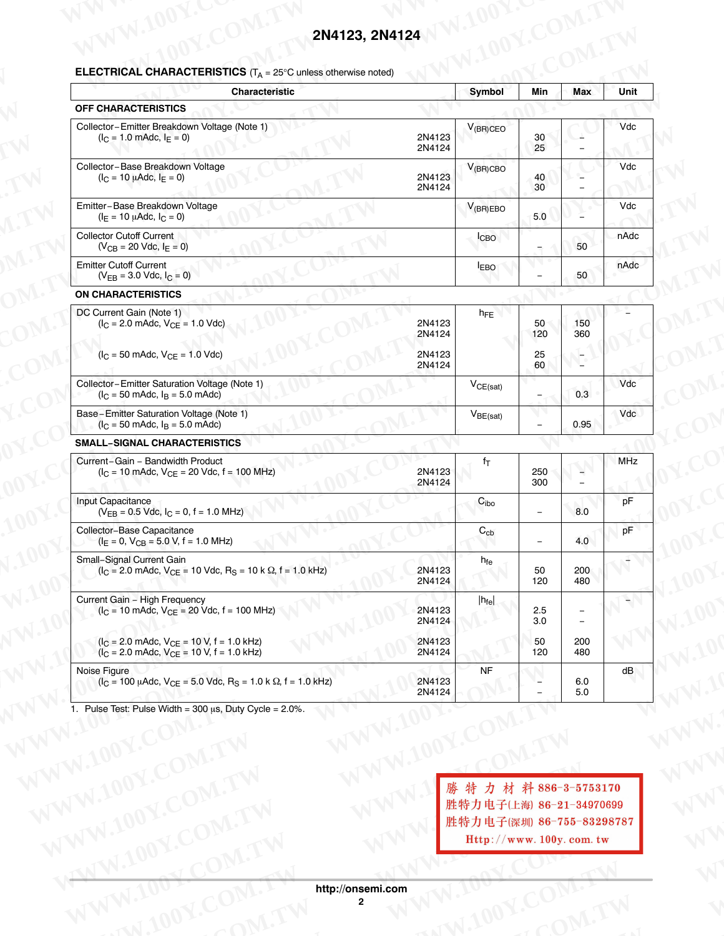# **2N4123, 2N4124** WWW.100Y.COM.TW WWW.100Y.COM.TW

| <b>Characteristic</b>                                                                                                                                |                  | Symbol            | Min                             | Max                            | Unit          |
|------------------------------------------------------------------------------------------------------------------------------------------------------|------------------|-------------------|---------------------------------|--------------------------------|---------------|
| OFF CHARACTERISTICS<br>Collector-Emitter Breakdown Voltage (Note 1)                                                                                  |                  | $V_{(BR)CEO}$     |                                 |                                | Vdc           |
| $(I_C = 1.0 \text{ m}$ Adc, $I_E = 0$ )                                                                                                              | 2N4123<br>2N4124 |                   | 30<br>25                        |                                |               |
| Collector-Base Breakdown Voltage<br>$(I_C = 10 \mu A d c, I_E = 0)$                                                                                  | 2N4123           | $V_{(BR)CBO}$     | 40                              | $\overline{\phantom{a}}$       | Vdc           |
| Emitter-Base Breakdown Voltage                                                                                                                       | 2N4124           | $V_{(BR)EBO}$     | 30 <sup>°</sup>                 | $\equiv$                       | Vdc           |
| $(I_E = 10 \mu A d c, I_C = 0)$<br>Collector Cutoff Current                                                                                          |                  | <b>ICBO</b>       | 5.0                             | $\equiv$                       | nAdc          |
| $(V_{CB} = 20$ Vdc, $I_E = 0)$<br><b>Emitter Cutoff Current</b>                                                                                      |                  | <b>LEBO</b>       | $\equiv$                        | 50                             | nAdc          |
| $(V_{EB} = 3.0$ Vdc, $I_C = 0)$<br><b>ON CHARACTERISTICS</b>                                                                                         |                  |                   | $\equiv$                        | 50                             |               |
| DC Current Gain (Note 1)                                                                                                                             |                  | $h_{FE}$          |                                 |                                |               |
| $(I_C = 2.0 \text{ m} \text{Adc}, V_{CE} = 1.0 \text{ Vdc})$                                                                                         | 2N4123<br>2N4124 |                   | $50 -$<br>120                   | 150<br>360                     |               |
| $(I_C = 50 \text{ m}$ Adc, $V_{CE} = 1.0 \text{ V}$ dc)                                                                                              | 2N4123<br>2N4124 |                   | 25<br>60                        | $\overline{\phantom{a}}$<br>Ψ, |               |
| Collector-Emitter Saturation Voltage (Note 1)<br>$(I_C = 50 \text{ m}$ Adc, $I_B = 5.0 \text{ m}$ Adc)                                               |                  | $V_{CE(sat)}$     | $\sim$                          | 0.3                            | Vdc           |
| Base-Emitter Saturation Voltage (Note 1)<br>$(I_C = 50 \text{ m}$ Adc, $I_B = 5.0 \text{ m}$ Adc)                                                    |                  | $V_{BE(sat)}$     |                                 | 0.95                           | Vdc           |
| <b>SMALL-SIGNAL CHARACTERISTICS</b>                                                                                                                  |                  |                   |                                 |                                |               |
| Current-Gain - Bandwidth Product<br>$(I_C = 10 \text{ m}$ Adc, $V_{CE} = 20 \text{ Vdc}, f = 100 \text{ MHz}$                                        | 2N4123           | $f_T$             | 250<br>300                      | $\frac{1}{2}$                  | MHz           |
| Input Capacitance                                                                                                                                    | 2N4124           | C <sub>ibo</sub>  |                                 |                                | pF            |
| $(V_{EB} = 0.5$ Vdc, $I_C = 0$ , $f = 1.0$ MHz)<br>Collector-Base Capacitance                                                                        |                  | $\mathrm{C_{cb}}$ | $\sim$                          | 8.0                            | pF            |
| $(I_E = 0, V_{CB} = 5.0 V, f = 1.0 MHz)$<br>Small-Signal Current Gain                                                                                |                  | $h_{\sf fe}$      | $\hspace{0.1mm}-\hspace{0.1mm}$ | 4.0                            | $-$           |
| $(I_C = 2.0 \text{ m}$ Adc, V <sub>CE</sub> = 10 Vdc, R <sub>S</sub> = 10 k $\Omega$ , f = 1.0 kHz)                                                  | 2N4123<br>2N4124 |                   | 50<br>120                       | 200<br>480                     |               |
| Current Gain - High Frequency<br>$(I_C = 10 \text{ m} \text{Adc}, V_{CE} = 20 \text{ Vdc}, f = 100 \text{ MHz})$                                     | 2N4123<br>2N4124 | $ h_{\text{fe}} $ | 2.5<br>3.0                      | $\overline{\phantom{a}}$       | $\rightarrow$ |
| $(I_C = 2.0 \text{ m}$ Adc, $V_{CE} = 10 \text{ V}, f = 1.0 \text{ kHz}$<br>$(I_C = 2.0 \text{ m}$ Adc, $V_{CE} = 10 \text{ V}, f = 1.0 \text{ kHz}$ | 2N4123<br>2N4124 |                   | 50<br>120                       | 200<br>480                     |               |
| Noise Figure<br>$(I_C = 100 \mu A d c, V_{CE} = 5.0 \text{ V} d c, R_S = 1.0 \text{ k } \Omega, f = 1.0 \text{ kHz}$                                 | 2N4123           | <b>NF</b>         | $\overline{\phantom{a}}$        | 6.0                            | dB            |
| Pulse Test: Pulse Width = $300 \mu s$ , Duty Cycle = $2.0\%$ .                                                                                       | 2N4124           |                   |                                 | 5.0                            |               |

**WWW.100Y.COM.TW WWW.100Y.COM.TW WWW.100Y.COM.TW WWW.100Y.COM.TW WWW.100Y.COM.TW WWW.100Y.COM.TW WWW.100Y.COM.TW WWW.100Y.COM.TW WWW.100Y.COM.TW WWW.100Y.COM.TW WWW.100Y.COM.TW WWW.100Y.COM.TW WWW WWW.100Y.COM.TW WWW.100Y.COM.TW WWW.100Y.COM.TW WWW.100Y.COM.TW WWW.100Y.COM.TW WWW.100Y.COM.TW WWW.100Y.COM.TW WWW.100Y.COM.TW WWW.100Y.COM.TW** WWW.100Y.COM.TW **WWW.20YWW.100Y.COM.TW WWW.100Y.COM.TW**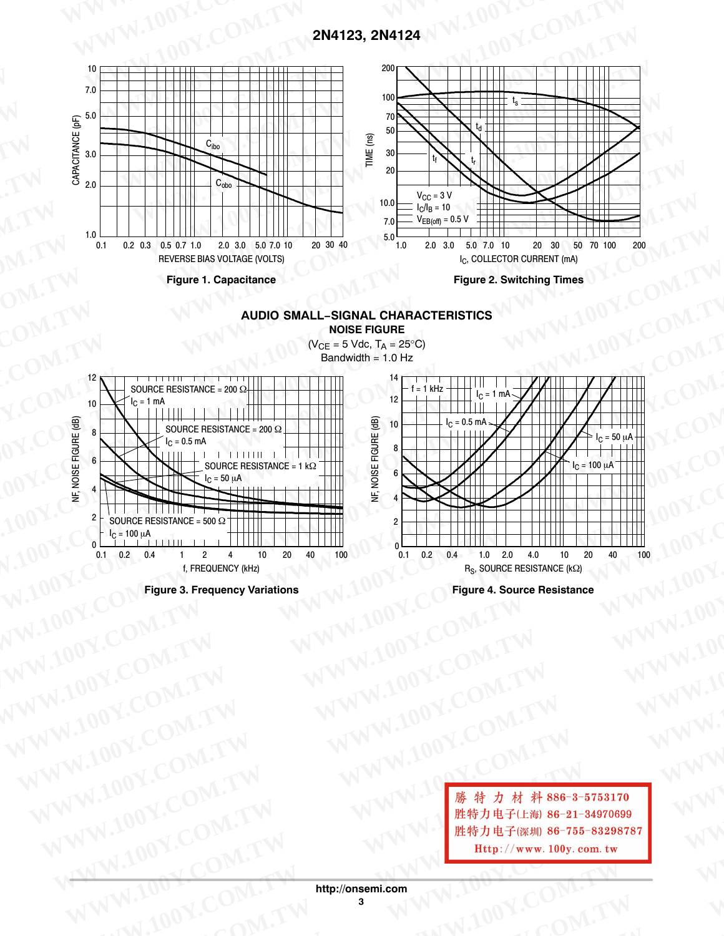

**AUDIO SMALL−SIGNAL CHARACTERISTICS NOISE FIGURE**





**Figure 4. Source Resistance**

WW.100Y.COM.TW **WWW.100Y.COM.TW <br>
WWW.100Y.COM.TW WWW.100Y.COM.TW WWW.100Y.COM.TW WWW.100<br>
WWW.100Y.COM.TW WWW.100Y.COM.TW WWW.100Y.COM.TW WWW.100Y.COM.TW WWW.100Y.COM.TW WWW.100Y.COM.TW WWW.100Y<br>
WWW.100Y.COM.TW WWW.100Y.** WW.100Y.COM.TW **WWW.100Y.COM.TW WWW.100Y.COM.TW <br>
WWW.100Y.COM.TW WWW.100Y.COM.TW WWW.100Y.COM.TW WWW.100Y.COM.TW WWW.100Y.COM.TW WWW.100Y.COM.TW WWW.100Y.COM.TW WWW.100Y.COM.TW WWW.100Y.COM.TW WWW.100Y.COM.TW WWW.100Y.C WWW.100Y.COM.TW WWW.100Y.COM.TW WWW.100Y.COM.TW WWW.100Y.COM.TW WWW.100Y.COM.TW WWW.100Y.COM.TW WWW.100Y.COM.TW WWW.100Y.COM.TW WWW.100Y.COM.TW WWW.100Y.COM.TW WWW.100Y.COM.TW WWW.100Y.COM.TW WWW.100Y.COM.TW WWW.100Y.COM. WW.100Y.COM.TW WWW.100Y.COM.TW RESERVED MANUAL COMAND COMPANY AND MANUAL COMPANY AND MANUAL COMPANY AND MANUAL COMPANY AND MANUAL COMPANY AND MANUAL COMPANY AND MANUAL COMPANY AND MANUAL COMPANY AND MANUAL COMPANY AND MAN WWW.100Y.COM.TW WWW.100Y.COM.TW WWW.100Y.COM.TW WWW.100Y.COM.TW WWW.100Y.COM.TW WWW.100Y.COM.TW WWW.100Y.COM.TW WWW.1** <sup>藤特力材料86-3-5753170</sup><br>100Y.COM.TW WWW.1 <sup>雕特力电子(比勒 86-21-34970699<br>100Y.COM.TW WWW.100y.com.tw Http://www.100y.com.tw WW<br>100Y.COM.TW http://onsemi.com<br>8 W.100Y.COM.TW 8 WW.100Y.COM.TW W</sup> **WWW.20WW.100Y.COM.TW http://onsemi.com** WWW.100Y.COM.TW **WWW.100Y.COM.TW REPORT** 

**http://onsemi.com WWW.COM.TW Http://onseni.com** WWW.100Y.COM.TW WWW.COM **WWW.DWWW.100Y.COM.TW AWWW.100Y.COM.TW**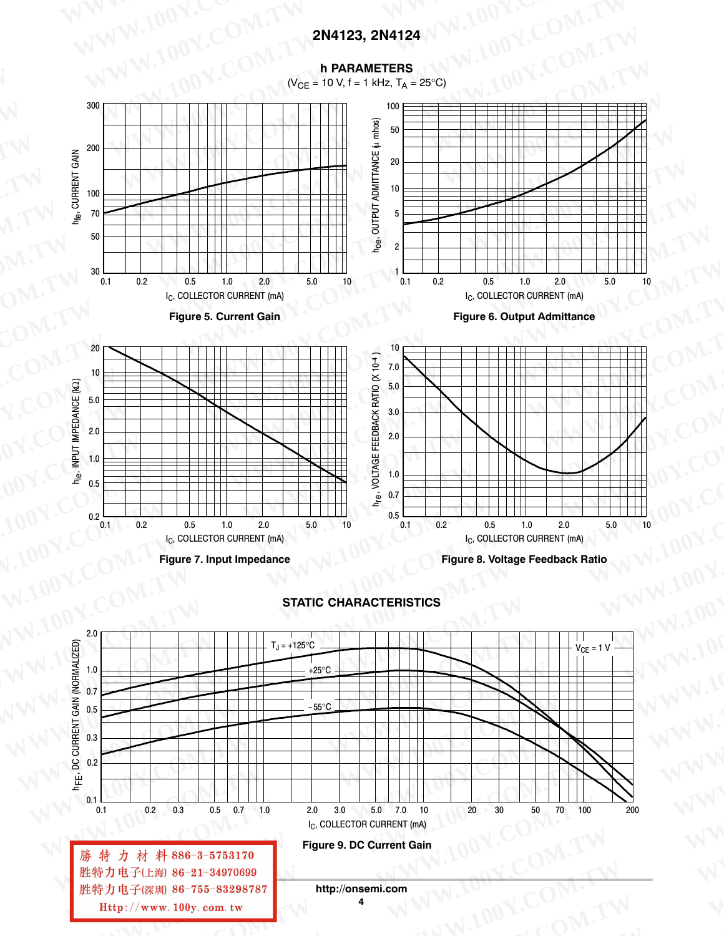#### h PARAMETERS





#### **STATIC CHARACTERISTICS**

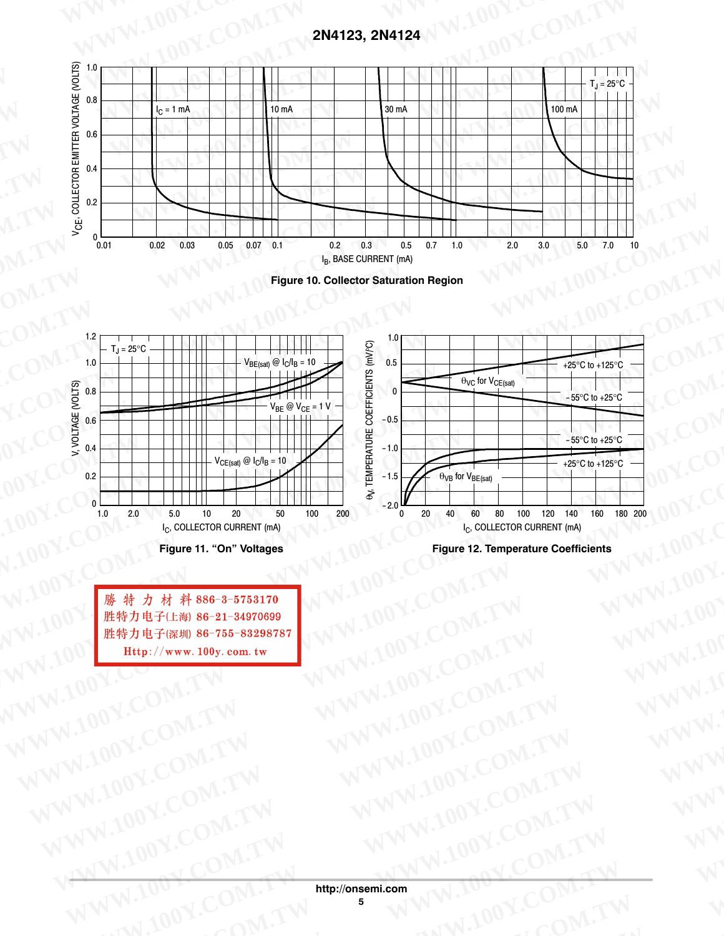





**Figure 11. "On" Voltages**